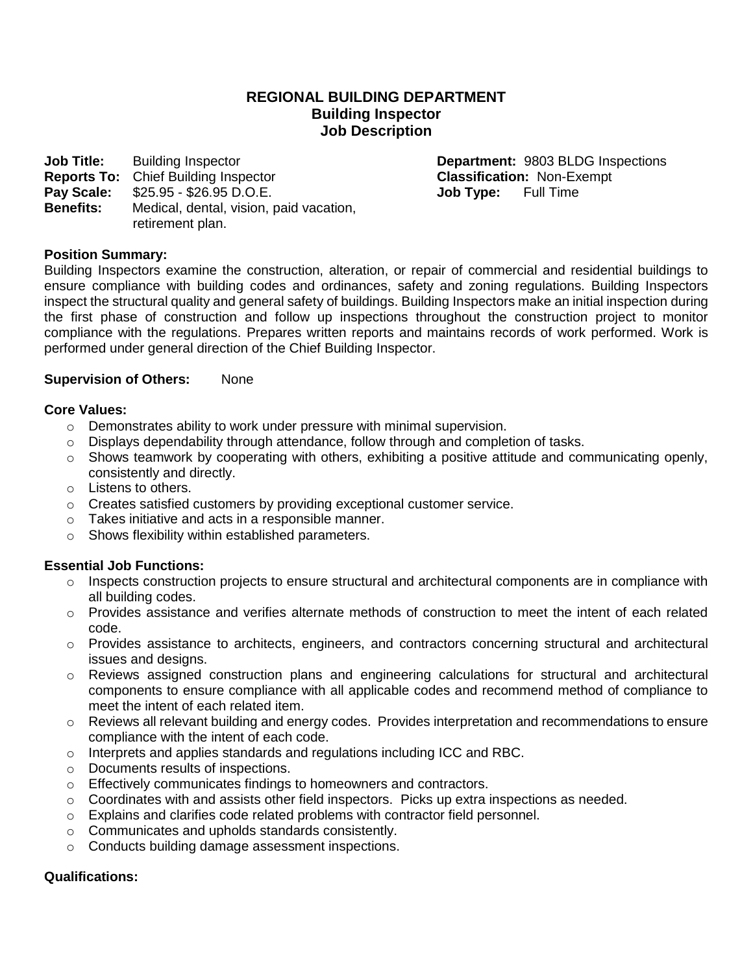### **REGIONAL BUILDING DEPARTMENT Building Inspector Job Description**

**Job Title:** Building Inspector **Department: 9803 BLDG Inspections Reports To:** Chief Building Inspector **Classification:** Non-Exempt **Pay Scale:** \$25.95 - \$26.95 D.O.E. **Job Type:** Full Time **Benefits:** Medical, dental, vision, paid vacation, retirement plan.

### **Position Summary:**

Building Inspectors examine the construction, alteration, or repair of commercial and residential buildings to ensure compliance with building codes and ordinances, safety and zoning regulations. Building Inspectors inspect the structural quality and general safety of buildings. Building Inspectors make an initial inspection during the first phase of construction and follow up inspections throughout the construction project to monitor compliance with the regulations. Prepares written reports and maintains records of work performed. Work is performed under general direction of the Chief Building Inspector.

#### **Supervision of Others:** None

#### **Core Values:**

- o Demonstrates ability to work under pressure with minimal supervision.
- $\circ$  Displays dependability through attendance, follow through and completion of tasks.
- $\circ$  Shows teamwork by cooperating with others, exhibiting a positive attitude and communicating openly, consistently and directly.
- o Listens to others.
- $\circ$  Creates satisfied customers by providing exceptional customer service.
- o Takes initiative and acts in a responsible manner.
- o Shows flexibility within established parameters.

### **Essential Job Functions:**

- o Inspects construction projects to ensure structural and architectural components are in compliance with all building codes.
- $\circ$  Provides assistance and verifies alternate methods of construction to meet the intent of each related code.
- o Provides assistance to architects, engineers, and contractors concerning structural and architectural issues and designs.
- o Reviews assigned construction plans and engineering calculations for structural and architectural components to ensure compliance with all applicable codes and recommend method of compliance to meet the intent of each related item.
- $\circ$  Reviews all relevant building and energy codes. Provides interpretation and recommendations to ensure compliance with the intent of each code.
- o Interprets and applies standards and regulations including ICC and RBC.
- o Documents results of inspections.
- o Effectively communicates findings to homeowners and contractors.
- $\circ$  Coordinates with and assists other field inspectors. Picks up extra inspections as needed.
- $\circ$  Explains and clarifies code related problems with contractor field personnel.
- o Communicates and upholds standards consistently.
- o Conducts building damage assessment inspections.

### **Qualifications:**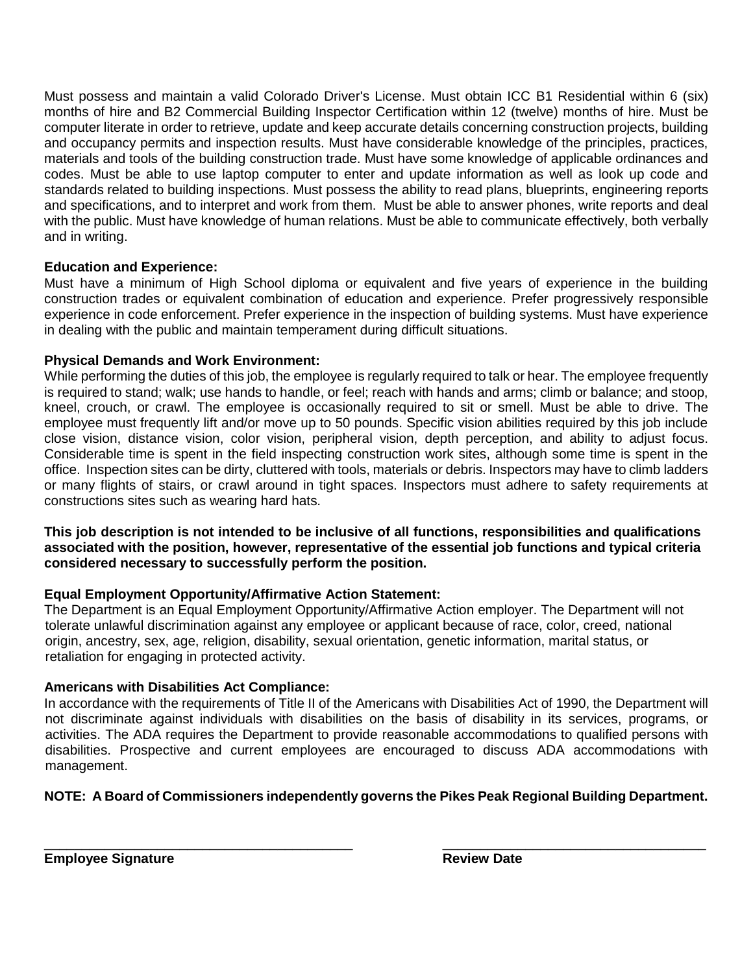Must possess and maintain a valid Colorado Driver's License. Must obtain ICC B1 Residential within 6 (six) months of hire and B2 Commercial Building Inspector Certification within 12 (twelve) months of hire. Must be computer literate in order to retrieve, update and keep accurate details concerning construction projects, building and occupancy permits and inspection results. Must have considerable knowledge of the principles, practices, materials and tools of the building construction trade. Must have some knowledge of applicable ordinances and codes. Must be able to use laptop computer to enter and update information as well as look up code and standards related to building inspections. Must possess the ability to read plans, blueprints, engineering reports and specifications, and to interpret and work from them. Must be able to answer phones, write reports and deal with the public. Must have knowledge of human relations. Must be able to communicate effectively, both verbally and in writing.

## **Education and Experience:**

Must have a minimum of High School diploma or equivalent and five years of experience in the building construction trades or equivalent combination of education and experience. Prefer progressively responsible experience in code enforcement. Prefer experience in the inspection of building systems. Must have experience in dealing with the public and maintain temperament during difficult situations.

## **Physical Demands and Work Environment:**

While performing the duties of this job, the employee is regularly required to talk or hear. The employee frequently is required to stand; walk; use hands to handle, or feel; reach with hands and arms; climb or balance; and stoop, kneel, crouch, or crawl. The employee is occasionally required to sit or smell. Must be able to drive. The employee must frequently lift and/or move up to 50 pounds. Specific vision abilities required by this job include close vision, distance vision, color vision, peripheral vision, depth perception, and ability to adjust focus. Considerable time is spent in the field inspecting construction work sites, although some time is spent in the office. Inspection sites can be dirty, cluttered with tools, materials or debris. Inspectors may have to climb ladders or many flights of stairs, or crawl around in tight spaces. Inspectors must adhere to safety requirements at constructions sites such as wearing hard hats.

**This job description is not intended to be inclusive of all functions, responsibilities and qualifications associated with the position, however, representative of the essential job functions and typical criteria considered necessary to successfully perform the position.**

# **Equal Employment Opportunity/Affirmative Action Statement:**

The Department is an Equal Employment Opportunity/Affirmative Action employer. The Department will not tolerate unlawful discrimination against any employee or applicant because of race, color, creed, national origin, ancestry, sex, age, religion, disability, sexual orientation, genetic information, marital status, or retaliation for engaging in protected activity.

# **Americans with Disabilities Act Compliance:**

In accordance with the requirements of Title II of the Americans with Disabilities Act of 1990, the Department will not discriminate against individuals with disabilities on the basis of disability in its services, programs, or activities. The ADA requires the Department to provide reasonable accommodations to qualified persons with disabilities. Prospective and current employees are encouraged to discuss ADA accommodations with management.

# **NOTE: A Board of Commissioners independently governs the Pikes Peak Regional Building Department.**

\_\_\_\_\_\_\_\_\_\_\_\_\_\_\_\_\_\_\_\_\_\_\_\_\_\_\_\_\_\_\_\_\_\_\_\_\_\_\_\_\_ \_\_\_\_\_\_\_\_\_\_\_\_\_\_\_\_\_\_\_\_\_\_\_\_\_\_\_\_\_\_\_\_\_\_\_ **Employee Signature Review Date Review Date**